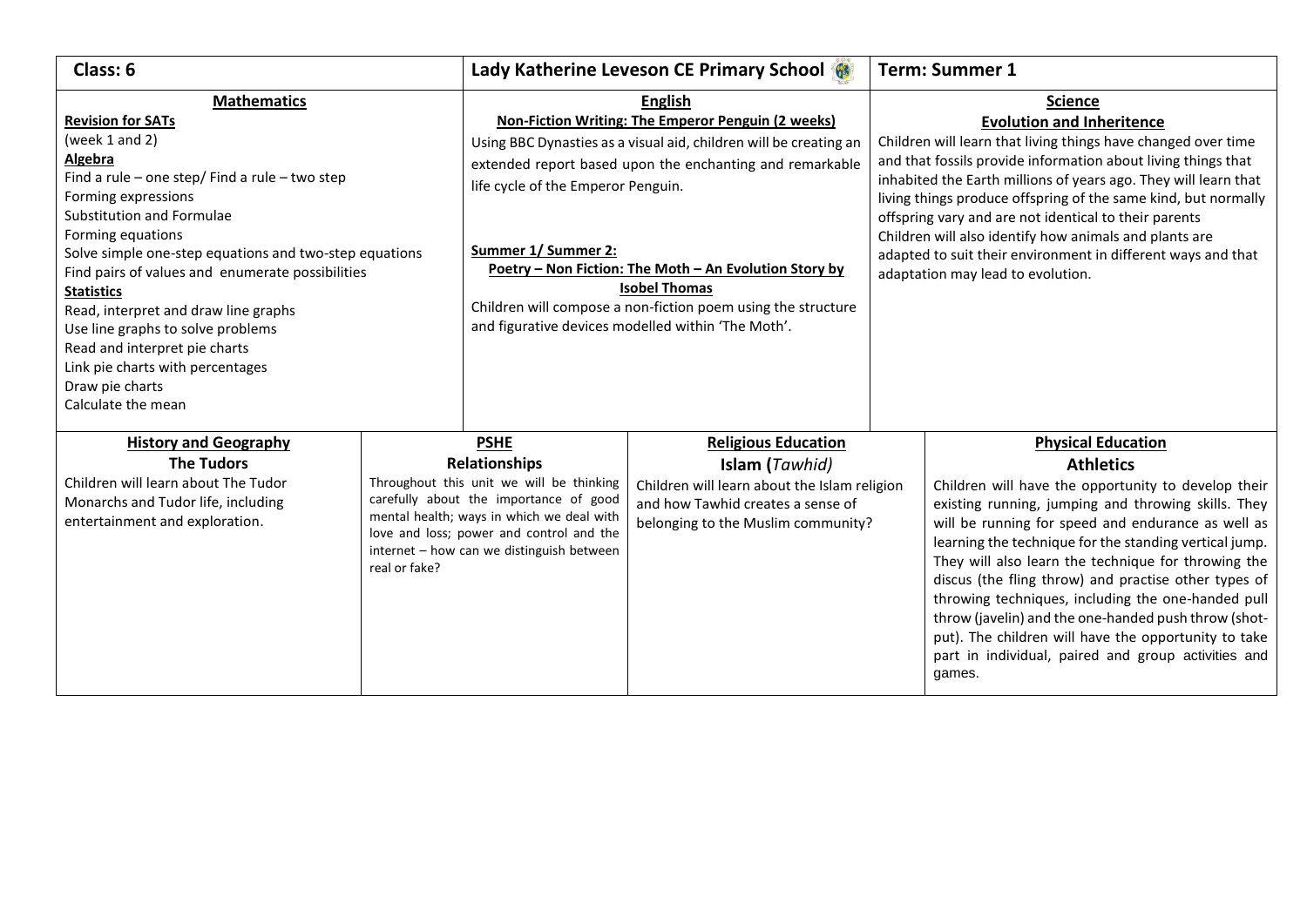| Class: 6                                                                                                                                                                                                                                                                                                                                                                                                                                                |                                                                                                                                                                                                                                                                                  | Lady Katherine Leveson CE Primary School                                                                                                                                                                                                                                                                                                                                                                                                                                   |                                                                                                                                                                         |                                                                                                                                                                                                                                                                                                                                                                                                                                                                                                                                                   | <b>Term: Summer 1</b>                                                                                                                                                                                                                                                                                                                                                                                                                                                                                                                                                                                                             |  |
|---------------------------------------------------------------------------------------------------------------------------------------------------------------------------------------------------------------------------------------------------------------------------------------------------------------------------------------------------------------------------------------------------------------------------------------------------------|----------------------------------------------------------------------------------------------------------------------------------------------------------------------------------------------------------------------------------------------------------------------------------|----------------------------------------------------------------------------------------------------------------------------------------------------------------------------------------------------------------------------------------------------------------------------------------------------------------------------------------------------------------------------------------------------------------------------------------------------------------------------|-------------------------------------------------------------------------------------------------------------------------------------------------------------------------|---------------------------------------------------------------------------------------------------------------------------------------------------------------------------------------------------------------------------------------------------------------------------------------------------------------------------------------------------------------------------------------------------------------------------------------------------------------------------------------------------------------------------------------------------|-----------------------------------------------------------------------------------------------------------------------------------------------------------------------------------------------------------------------------------------------------------------------------------------------------------------------------------------------------------------------------------------------------------------------------------------------------------------------------------------------------------------------------------------------------------------------------------------------------------------------------------|--|
| <b>Mathematics</b><br><b>Revision for SATs</b><br>(week 1 and 2)<br>Algebra<br>Find a rule – one step/ Find a rule – two step<br>Forming expressions<br>Substitution and Formulae<br>Forming equations<br>Solve simple one-step equations and two-step equations<br>Find pairs of values and enumerate possibilities<br><b>Statistics</b><br>Read, interpret and draw line graphs<br>Use line graphs to solve problems<br>Read and interpret pie charts |                                                                                                                                                                                                                                                                                  | <b>English</b><br>Non-Fiction Writing: The Emperor Penguin (2 weeks)<br>Using BBC Dynasties as a visual aid, children will be creating an<br>extended report based upon the enchanting and remarkable<br>life cycle of the Emperor Penguin.<br>Summer 1/ Summer 2:<br>Poetry - Non Fiction: The Moth - An Evolution Story by<br><b>Isobel Thomas</b><br>Children will compose a non-fiction poem using the structure<br>and figurative devices modelled within 'The Moth'. |                                                                                                                                                                         | <b>Science</b><br><b>Evolution and Inheritence</b><br>Children will learn that living things have changed over time<br>and that fossils provide information about living things that<br>inhabited the Earth millions of years ago. They will learn that<br>living things produce offspring of the same kind, but normally<br>offspring vary and are not identical to their parents<br>Children will also identify how animals and plants are<br>adapted to suit their environment in different ways and that<br>adaptation may lead to evolution. |                                                                                                                                                                                                                                                                                                                                                                                                                                                                                                                                                                                                                                   |  |
| Link pie charts with percentages<br>Draw pie charts<br>Calculate the mean                                                                                                                                                                                                                                                                                                                                                                               |                                                                                                                                                                                                                                                                                  |                                                                                                                                                                                                                                                                                                                                                                                                                                                                            |                                                                                                                                                                         |                                                                                                                                                                                                                                                                                                                                                                                                                                                                                                                                                   |                                                                                                                                                                                                                                                                                                                                                                                                                                                                                                                                                                                                                                   |  |
| <b>History and Geography</b><br><b>The Tudors</b><br>Children will learn about The Tudor<br>Monarchs and Tudor life, including<br>entertainment and exploration.                                                                                                                                                                                                                                                                                        | <b>PSHE</b><br><b>Relationships</b><br>Throughout this unit we will be thinking<br>carefully about the importance of good<br>mental health; ways in which we deal with<br>love and loss; power and control and the<br>internet - how can we distinguish between<br>real or fake? |                                                                                                                                                                                                                                                                                                                                                                                                                                                                            | <b>Religious Education</b><br>Islam (Tawhid)<br>Children will learn about the Islam religion<br>and how Tawhid creates a sense of<br>belonging to the Muslim community? |                                                                                                                                                                                                                                                                                                                                                                                                                                                                                                                                                   | <b>Physical Education</b><br><b>Athletics</b><br>Children will have the opportunity to develop their<br>existing running, jumping and throwing skills. They<br>will be running for speed and endurance as well as<br>learning the technique for the standing vertical jump.<br>They will also learn the technique for throwing the<br>discus (the fling throw) and practise other types of<br>throwing techniques, including the one-handed pull<br>throw (javelin) and the one-handed push throw (shot-<br>put). The children will have the opportunity to take<br>part in individual, paired and group activities and<br>games. |  |